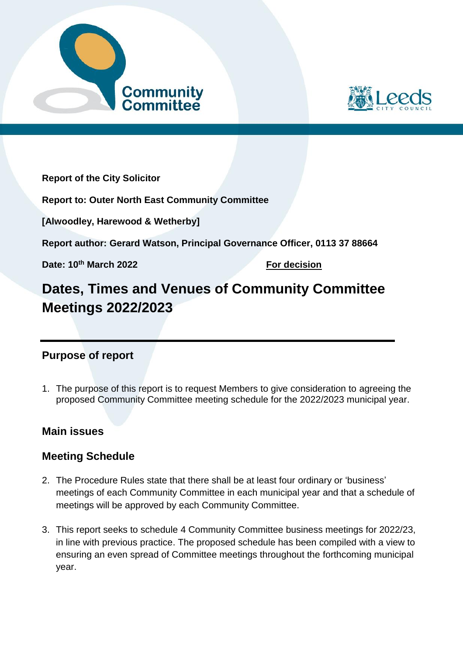



**Report of the City Solicitor**

**Report to: Outer North East Community Committee**

**[Alwoodley, Harewood & Wetherby]**

**Report author: Gerard Watson, Principal Governance Officer, 0113 37 88664** 

**Date: 10th March 2022 For decision**

# **Dates, Times and Venues of Community Committee Meetings 2022/2023**

# **Purpose of report**

1. The purpose of this report is to request Members to give consideration to agreeing the proposed Community Committee meeting schedule for the 2022/2023 municipal year.

# **Main issues**

# **Meeting Schedule**

- 2. The Procedure Rules state that there shall be at least four ordinary or 'business' meetings of each Community Committee in each municipal year and that a schedule of meetings will be approved by each Community Committee.
- 3. This report seeks to schedule 4 Community Committee business meetings for 2022/23, in line with previous practice. The proposed schedule has been compiled with a view to ensuring an even spread of Committee meetings throughout the forthcoming municipal year.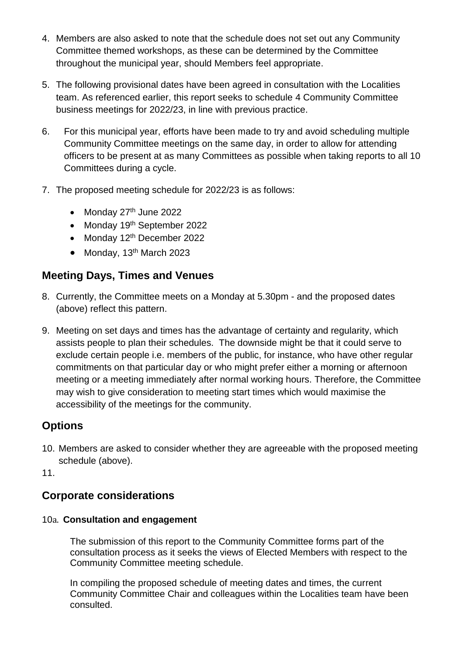- 4. Members are also asked to note that the schedule does not set out any Community Committee themed workshops, as these can be determined by the Committee throughout the municipal year, should Members feel appropriate.
- 5. The following provisional dates have been agreed in consultation with the Localities team. As referenced earlier, this report seeks to schedule 4 Community Committee business meetings for 2022/23, in line with previous practice.
- 6. For this municipal year, efforts have been made to try and avoid scheduling multiple Community Committee meetings on the same day, in order to allow for attending officers to be present at as many Committees as possible when taking reports to all 10 Committees during a cycle.
- 7. The proposed meeting schedule for 2022/23 is as follows:
	- Monday  $27<sup>th</sup>$  June 2022
	- Monday 19th September 2022
	- Monday 12<sup>th</sup> December 2022
	- $\bullet$  Monday, 13<sup>th</sup> March 2023

# **Meeting Days, Times and Venues**

- 8. Currently, the Committee meets on a Monday at 5.30pm and the proposed dates (above) reflect this pattern.
- 9. Meeting on set days and times has the advantage of certainty and regularity, which assists people to plan their schedules. The downside might be that it could serve to exclude certain people i.e. members of the public, for instance, who have other regular commitments on that particular day or who might prefer either a morning or afternoon meeting or a meeting immediately after normal working hours. Therefore, the Committee may wish to give consideration to meeting start times which would maximise the accessibility of the meetings for the community.

# **Options**

10. Members are asked to consider whether they are agreeable with the proposed meeting schedule (above).

11.

## **Corporate considerations**

#### 10a. **Consultation and engagement**

The submission of this report to the Community Committee forms part of the consultation process as it seeks the views of Elected Members with respect to the Community Committee meeting schedule.

In compiling the proposed schedule of meeting dates and times, the current Community Committee Chair and colleagues within the Localities team have been consulted.